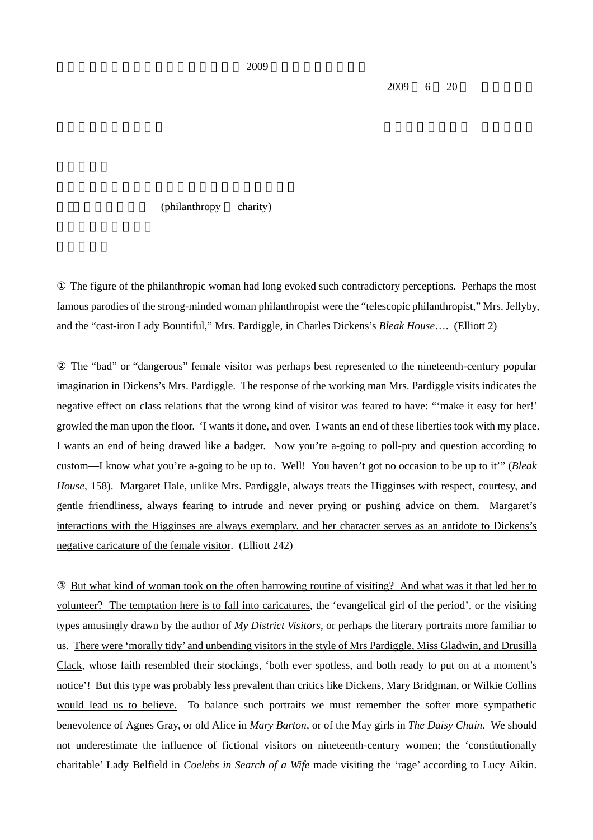$2009 \t 6 \t 20$ 

 $(\text{philanthropy} \quad \text{charity})$ 

 The figure of the philanthropic woman had long evoked such contradictory perceptions. Perhaps the most famous parodies of the strong-minded woman philanthropist were the "telescopic philanthropist," Mrs. Jellyby, and the "cast-iron Lady Bountiful," Mrs. Pardiggle, in Charles Dickens's *Bleak House*…. (Elliott 2)

 The "bad" or "dangerous" female visitor was perhaps best represented to the nineteenth-century popular imagination in Dickens's Mrs. Pardiggle. The response of the working man Mrs. Pardiggle visits indicates the negative effect on class relations that the wrong kind of visitor was feared to have: "'make it easy for her!' growled the man upon the floor. 'I wants it done, and over. I wants an end of these liberties took with my place. I wants an end of being drawed like a badger. Now you're a-going to poll-pry and question according to custom—I know what you're a-going to be up to. Well! You haven't got no occasion to be up to it'" (*Bleak House*, 158). Margaret Hale, unlike Mrs. Pardiggle, always treats the Higginses with respect, courtesy, and gentle friendliness, always fearing to intrude and never prying or pushing advice on them. Margaret's interactions with the Higginses are always exemplary, and her character serves as an antidote to Dickens's negative caricature of the female visitor. (Elliott 242)

 But what kind of woman took on the often harrowing routine of visiting? And what was it that led her to volunteer? The temptation here is to fall into caricatures, the 'evangelical girl of the period', or the visiting types amusingly drawn by the author of *My District Visitors*, or perhaps the literary portraits more familiar to us. There were 'morally tidy' and unbending visitors in the style of Mrs Pardiggle, Miss Gladwin, and Drusilla Clack, whose faith resembled their stockings, 'both ever spotless, and both ready to put on at a moment's notice'! But this type was probably less prevalent than critics like Dickens, Mary Bridgman, or Wilkie Collins would lead us to believe. To balance such portraits we must remember the softer more sympathetic benevolence of Agnes Gray, or old Alice in *Mary Barton*, or of the May girls in *The Daisy Chain*. We should not underestimate the influence of fictional visitors on nineteenth-century women; the 'constitutionally charitable' Lady Belfield in *Coelebs in Search of a Wife* made visiting the 'rage' according to Lucy Aikin.

 $2009$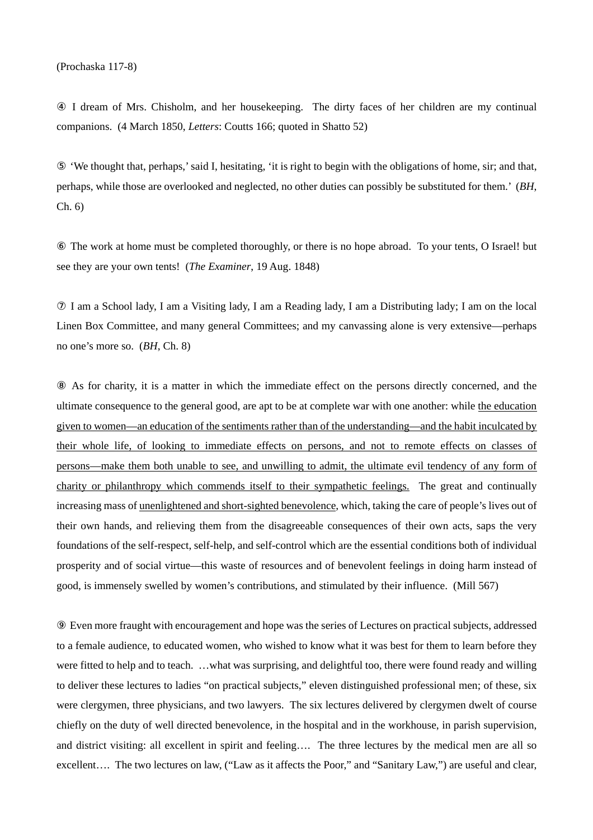(Prochaska 117-8)

 I dream of Mrs. Chisholm, and her housekeeping. The dirty faces of her children are my continual companions. (4 March 1850, *Letters*: Coutts 166; quoted in Shatto 52)

 'We thought that, perhaps,' said I, hesitating, 'it is right to begin with the obligations of home, sir; and that, perhaps, while those are overlooked and neglected, no other duties can possibly be substituted for them.' (*BH*, Ch. 6)

 The work at home must be completed thoroughly, or there is no hope abroad. To your tents, O Israel! but see they are your own tents! (*The Examiner*, 19 Aug. 1848)

 I am a School lady, I am a Visiting lady, I am a Reading lady, I am a Distributing lady; I am on the local Linen Box Committee, and many general Committees; and my canvassing alone is very extensive—perhaps no one's more so. (*BH*, Ch. 8)

 As for charity, it is a matter in which the immediate effect on the persons directly concerned, and the ultimate consequence to the general good, are apt to be at complete war with one another: while the education given to women—an education of the sentiments rather than of the understanding—and the habit inculcated by their whole life, of looking to immediate effects on persons, and not to remote effects on classes of persons—make them both unable to see, and unwilling to admit, the ultimate evil tendency of any form of charity or philanthropy which commends itself to their sympathetic feelings. The great and continually increasing mass of unenlightened and short-sighted benevolence, which, taking the care of people's lives out of their own hands, and relieving them from the disagreeable consequences of their own acts, saps the very foundations of the self-respect, self-help, and self-control which are the essential conditions both of individual prosperity and of social virtue—this waste of resources and of benevolent feelings in doing harm instead of good, is immensely swelled by women's contributions, and stimulated by their influence. (Mill 567)

 Even more fraught with encouragement and hope was the series of Lectures on practical subjects, addressed to a female audience, to educated women, who wished to know what it was best for them to learn before they were fitted to help and to teach. …what was surprising, and delightful too, there were found ready and willing to deliver these lectures to ladies "on practical subjects," eleven distinguished professional men; of these, six were clergymen, three physicians, and two lawyers. The six lectures delivered by clergymen dwelt of course chiefly on the duty of well directed benevolence, in the hospital and in the workhouse, in parish supervision, and district visiting: all excellent in spirit and feeling…. The three lectures by the medical men are all so excellent…. The two lectures on law, ("Law as it affects the Poor," and "Sanitary Law,") are useful and clear,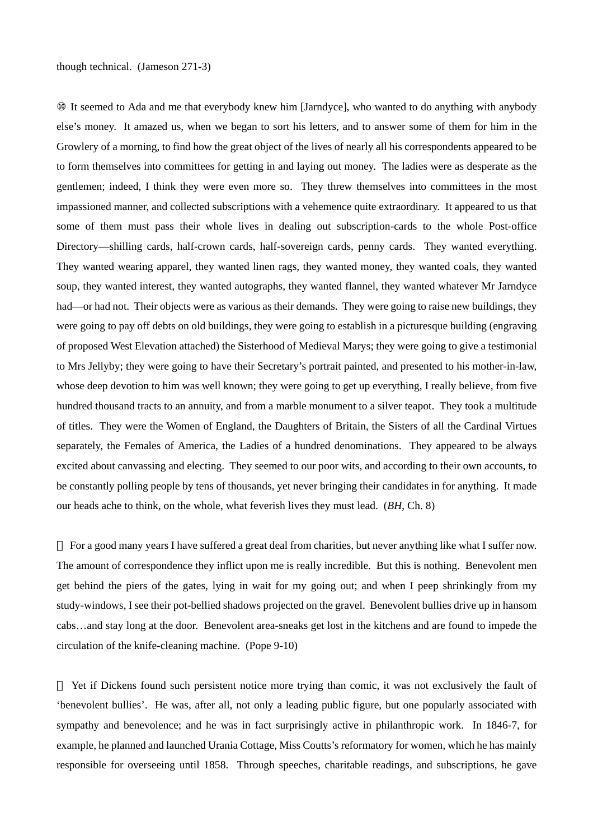It seemed to Ada and me that everybody knew him [Jarndyce], who wanted to do anything with anybody else's money. It amazed us, when we began to sort his letters, and to answer some of them for him in the Growlery of a morning, to find how the great object of the lives of nearly all his correspondents appeared to be to form themselves into committees for getting in and laying out money. The ladies were as desperate as the gentlemen; indeed, I think they were even more so. They threw themselves into committees in the most impassioned manner, and collected subscriptions with a vehemence quite extraordinary. It appeared to us that some of them must pass their whole lives in dealing out subscription-cards to the whole Post-office Directory—shilling cards, half-crown cards, half-sovereign cards, penny cards. They wanted everything. They wanted wearing apparel, they wanted linen rags, they wanted money, they wanted coals, they wanted soup, they wanted interest, they wanted autographs, they wanted flannel, they wanted whatever Mr Jarndyce had—or had not. Their objects were as various as their demands. They were going to raise new buildings, they were going to pay off debts on old buildings, they were going to establish in a picturesque building (engraving of proposed West Elevation attached) the Sisterhood of Medieval Marys; they were going to give a testimonial to Mrs Jellyby; they were going to have their Secretary's portrait painted, and presented to his mother-in-law, whose deep devotion to him was well known; they were going to get up everything, I really believe, from five hundred thousand tracts to an annuity, and from a marble monument to a silver teapot. They took a multitude of titles. They were the Women of England, the Daughters of Britain, the Sisters of all the Cardinal Virtues separately, the Females of America, the Ladies of a hundred denominations. They appeared to be always excited about canvassing and electing. They seemed to our poor wits, and according to their own accounts, to be constantly polling people by tens of thousands, yet never bringing their candidates in for anything. It made our heads ache to think, on the whole, what feverish lives they must lead. (*BH*, Ch. 8)

 For a good many years I have suffered a great deal from charities, but never anything like what I suffer now. The amount of correspondence they inflict upon me is really incredible. But this is nothing. Benevolent men get behind the piers of the gates, lying in wait for my going out; and when I peep shrinkingly from my study-windows, I see their pot-bellied shadows projected on the gravel. Benevolent bullies drive up in hansom cabs…and stay long at the door. Benevolent area-sneaks get lost in the kitchens and are found to impede the circulation of the knife-cleaning machine. (Pope 9-10)

 Yet if Dickens found such persistent notice more trying than comic, it was not exclusively the fault of 'benevolent bullies'. He was, after all, not only a leading public figure, but one popularly associated with sympathy and benevolence; and he was in fact surprisingly active in philanthropic work. In 1846-7, for example, he planned and launched Urania Cottage, Miss Coutts's reformatory for women, which he has mainly responsible for overseeing until 1858. Through speeches, charitable readings, and subscriptions, he gave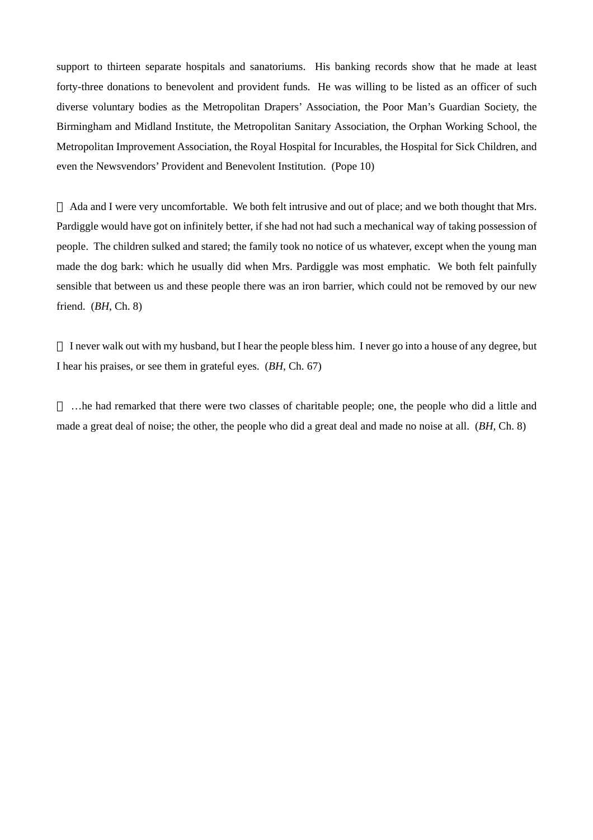support to thirteen separate hospitals and sanatoriums. His banking records show that he made at least forty-three donations to benevolent and provident funds. He was willing to be listed as an officer of such diverse voluntary bodies as the Metropolitan Drapers' Association, the Poor Man's Guardian Society, the Birmingham and Midland Institute, the Metropolitan Sanitary Association, the Orphan Working School, the Metropolitan Improvement Association, the Royal Hospital for Incurables, the Hospital for Sick Children, and even the Newsvendors' Provident and Benevolent Institution. (Pope 10)

 Ada and I were very uncomfortable. We both felt intrusive and out of place; and we both thought that Mrs. Pardiggle would have got on infinitely better, if she had not had such a mechanical way of taking possession of people. The children sulked and stared; the family took no notice of us whatever, except when the young man made the dog bark: which he usually did when Mrs. Pardiggle was most emphatic. We both felt painfully sensible that between us and these people there was an iron barrier, which could not be removed by our new friend. (*BH*, Ch. 8)

 I never walk out with my husband, but I hear the people bless him. I never go into a house of any degree, but I hear his praises, or see them in grateful eyes. (*BH*, Ch. 67)

 …he had remarked that there were two classes of charitable people; one, the people who did a little and made a great deal of noise; the other, the people who did a great deal and made no noise at all. (*BH*, Ch. 8)